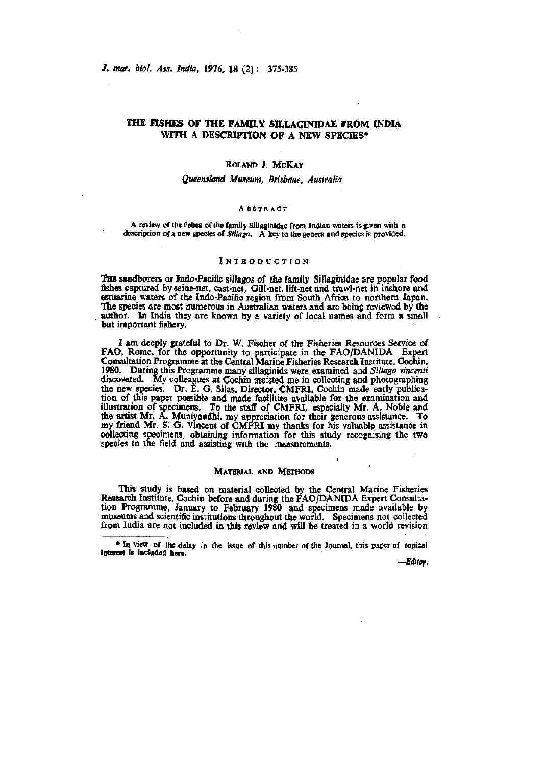/. *mar. biol Ass, India,* 1976, 18 (2): 375-385

# THE FISHES OF THE FAMILY SILLAGINIDAE FROM INDIA WITH A DESCRIPTION OF A NEW SPECIES\*

# ROLAND J. MCKAY

## *Queensland Museum, Brisbane. Australia*

#### ABSTRACT

A review of the fishes of the family Sillaginidae from Indian waters is given with a description of a new species of *Sillago*. A key to the genera and species is provided.

# INTRODUCTIO N

THE sandborers or Indo-Pacific sillagos of the family Sillaginidae are popular food fishes captured by seine-net, cast-net. Gill-net, lift-net and trawl-net in inshore and estuarine waters of the Indo-Pacific region from South Africa to northern Japan. The species are most numerous in Australian waters and are being reviewed by the author. In India they are known by a variety of local names and form a small but important fishery.

I am deeply grateful to Dr. W. Fischer of the Fisheries Resources Service of FAG, Rome, for the opportunity to participate in the FAO/DANIDA Expert Consultation Programme at the Central Marine Fisheries Research Institute, Cochin, 1980. During this Programme many sillaginids were examined and *Siliago vincenti*  discovered. My colleagues at Cochin assisted me in collecting and photographing the new species. Dr. E. G. Silas, Director, CMFRI, Cochin made early publication of this paper possible and made facilities available for the examination and illustration of specimens. To the staff of CMFRI, especially Mr. A, Noble and the artist Mr. A. Muniyandhi, my appreciation for their generous assistance. To my friend Mr. S; G. Vincent of CMFRI my thanks for his valuable assistance in coUectirig specimens, obtaining information for this study recognising the two species in the field and assisting with the measurements.

# MATERIAL AND METHODS

This study is based on material collected by the Central Marine Fisheries Research Institute, Cochin before and during the FAO/DANIDA Expert Consultation Programme, January to February 1980 and specimens made available by museums and scientific institutions throughout the world. Specimens not collected from India are not included in this review and will be treated in a world revision

*r-EcUtor.* 

<sup>•</sup> In view of the delay in the issue of this number of the Journal, this paper of topical interest is included here,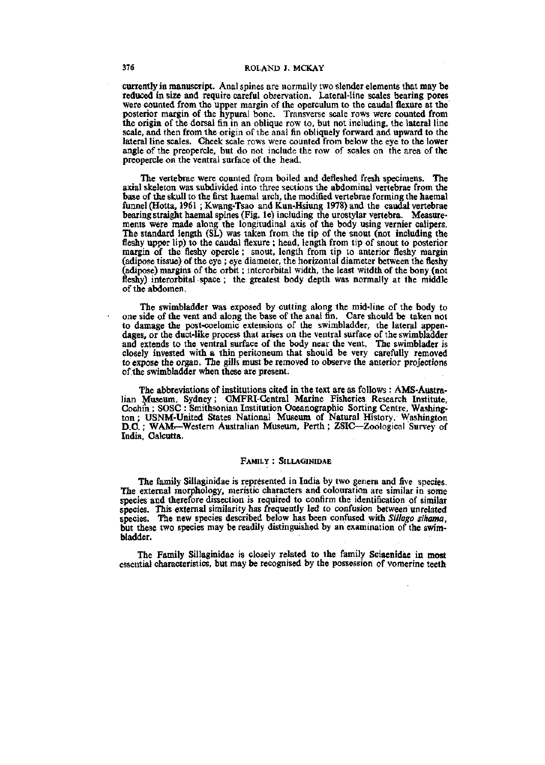currently in manuscript. Anal spines are normally two slender elements that may be reduced in size and require careful observation. Lateral-line scales bearing pores were counted from the upper margin of the operculum to the caudal flexure at the posterior margin of the hypural bone. Transverse scale rows were counted from the origin of the dorsal fin in an oblique row to, but not including, the lateral line scale, and then from the origin of the anal fin obliquely forward and upward to the lateral line scales. Cheek scale rows were counted from below the eye to the lower angle of the preopercle, but do not include the row of scales on the area of the preopercle on the ventral surface of the head.

The vertebrae were counted from boiled and defleshed fresh specimens. The axial skeleton was subdivided into three sections the abdominal vertebrae from the base of the skull to the first haemal arch, the modified vertebrae forming the haemal funnel (Hotta, 1961 ; Kwang-Tsao and Kun-Hsiung 1978) and the caudal vertebrae bearing straight haemal spines (Fig. le) including the urostylar vertebra. Measurements were made along the longitudinal axis of the body using vernier calipers. The standard length (SL) was taken from the tip of the snout (not including the fleshy upper lip) to the caudal flexure ; head, length from tip of snout to posterior margin of the fleshy opercle; snout, length from tip to anterior fleshy margin (adipose tissue) of the eye ; eye diameter, the horizontal diameter between the fleshy (adipose) margins of the orbit; interorbital width, the least witdth of the bony (not fleshy) interorbital space; the greatest body depth was normally at the middle of the abdomen.

The swimbladder was exposed by cutting along the mid-line of the body to one side of the vent and along the base of the anal fin. Care should be taken not to damage the post-coelomic extensions of the swimbladder, the lateral appendages, or the duct-like process that arises on the ventral surface of the swimbladder and extends to the ventral surface of the body near the vent. The swimblader is closely invested with a thin peritoneum that should be very carefully removed to expose the organ. The gills must be removed to observe the anterior projections of the swimbladder when these are present.

The abbreviations of institutions cited in the text are as follows : AMS-Australian Museum, Sydney; CMFRI-Oentral Marine Fisheries Research Institute, Cochin ; SOSC : Smithsonian Institution Oceanographic Sorting Centre, Washington ; USNM-United States National Museum of Natural History, Washington D.C.; WAM—Western Australian Museum, Perth; ZSIC—Zoological Survey of India, Calcutta.

#### FAMILY : SILLAGINIDAE

The family Sillaginidae is represented in India by two genera and five species. The external morphology, meristic characters and colouration are similar in some species and therefore dissection is required to confirm the identification of similar species. This external similarity has frequently led to confusion between unrelated species. The new species described below has been confused with Sillago sihama, but these two species may be readily distinguished by an examination of the swimbladder.

The Family Sillaginidae is closely related to the family Sciaenidae in most essential characteristics, but may be recognised by the possession of vomerine teeth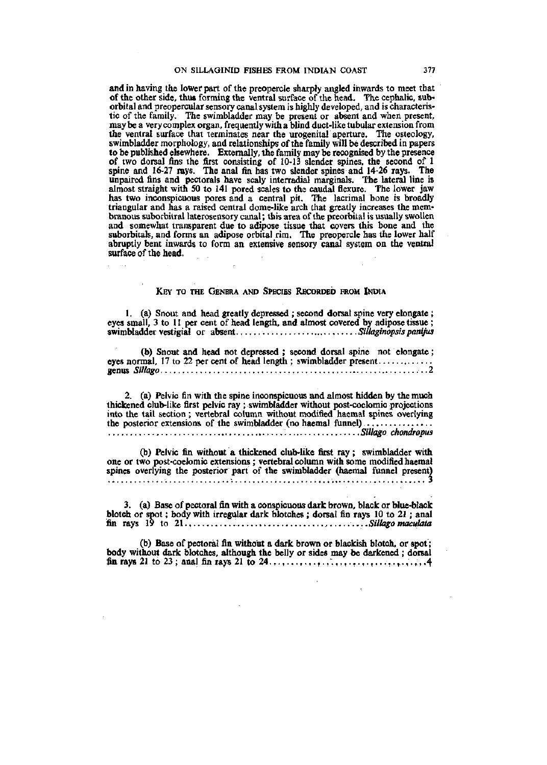and in having the lower part of the preopercle sharply angled inwards to meet that of the other side, thus forming the ventral surface of the head. The cephalic, suborbital and preopercular sensory canal system is highly developed, and is characteristic of the family. The swimbladder may be present or absent and when present, may be a very complex organ, frequently with a blind duct-like tubular extension from the ventral surface that terminates near the urogemtal aperture. The osteology, swimbladder morphology, and relationships of the family will be described in papers to be published elsewhere. Externally, the family may be recognised by the presence of two dorsal fins the first consisting of 10-13 slender spines, the second of 1 spine and 16-27 rays. The anal fin has two slender spines and 14-26 rays. The unpaired fins and pectorals have scaly interradial marginals. The lateral line is almost straight with 50 to 141 pored scales to the caudal flexure. The lower jaw has two inconspicuous pores and a central pit. The lacrimal bone is broadly triangular and has a raised central dome-like arch that greatly increases the membranous suborbitral laterosensory canal; this area of the preorbital is usually swollen and somewhat transparent due to adipose tissue that covers this bone and the suborbitals, and forms an adipose orbital rim. The preopercle has the lower half abruptly bent inwards to form an extensive sensory canal system on the ventral surface of the head.

# KEY TO THE GENERA AND SPECIES RECORDED FROM INDIA

 $\hat{\mathcal{A}}$ 

1. (a) Snout and head greatly depressed ; second dorsal spine very elongate ; eyes small, 3 to 11 per cent of head length, and almost covered by adipose tissue ; swimbladder vestigial or absent...............................Sillaginopsis panijus

(b) Snout and head not depressed ; second dorsal spine not elongate; eyes normal. 17 to 22 per cent of head length ; swimbladder present.............. genus *Sillago* ..2

2. (a) Pelvic fin with the spine inconspicuous and almost hidden by the much thickened club-like first pelvic ray ; swimbladder without post-coelomic projections into the tail section ; vertebral column without modified haemal spines overlying the posterior extensions of the swimbladder (no haemal funnel)................ , *Sillc^o chondropus* 

*(Jo)* Pelvic fin without a thickened club-like first ray; swimbladder with one or two post-coelomic extensions ; vertebral column with some modified haemal spines overlying the posterior part of the swimbladder (haemal funnel present) *~.* 3

3. (a) Base of pectoral fin with a conspicuous dark brown, black or blue-black blotch or spot; body with irregular dark blotches ; dorsal fin rays 10 to 21 ; anal fin rays 19 to 21., *.Sillago maculata* 

(b) Base of pectoral fin without a dark brown or blackish blotch, or spot; body without dark blotches, although the belly or sides may be darkened ; dorsal fin rays 21 to 23; anal fin rays 21 to 24.,,,,,,,,,,,,,,,,,,,,,,,,,,,,,,,,,,,4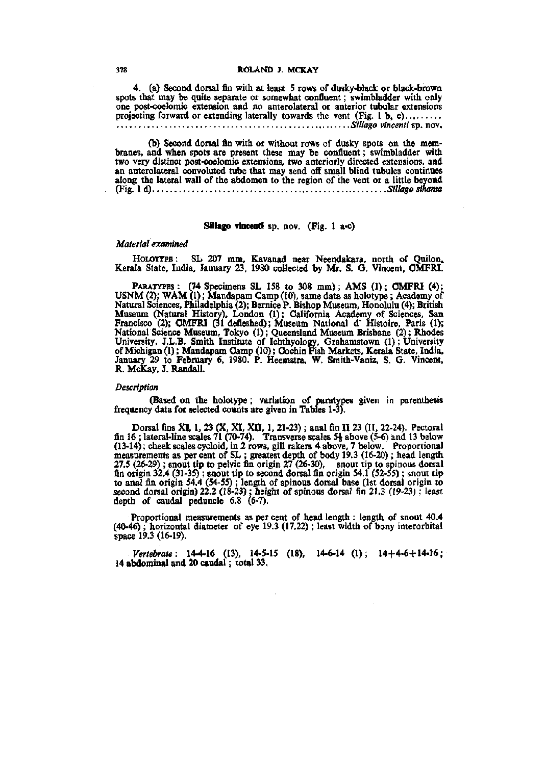4. (a) Second dorsal fin with at least 5 rows of dusky-black or black-brown spots that may be quite separate or somewhat confluent; swimbladder with only one post-coelomic extension and no anterolateral or anterior tubular extensions projecting forward or extending laterally towards the vent (Fig. 1 b, c)........ *Sillago vincenti* sp. nov.

(b) Second dorsal fin with or without rows of dusky spots on the membranes, and when spots are present these may be confluent; swimbladder with two very distinct post-coelomic extensions, two anteriorly directed extensions, and an anterolateral convoluted tube that may send off small blind tubules continues along the lateral wall of the abdomen to the region of the vent or a little beyond (Fig. Id) *Sillagosihama* 

# Sillago vincenti sp. nov. (Fig. 1 a-c)

#### *Material examined*

HOLOTYPE: SL 207 mm, Kavanad near Neendakara, north of Quilon. Kerala State, India, January 23, 1980 collected by Mr. S. G. Vincent, OMFRI.

PARATYPES: (74 Specimens SL 158 to 308 mm); AMS (1); OMFRI (4); USNM (2); WAM (1); Mandapam Camp (10), same data as holotype ; Academy of Natural Sciences, Philadelphia (2); Bernice P. Bishop Museum, Honolulu (4); British Museum (Natural History), London (1); California Academy of Sciences, San Francisco (2); OMFRI (31 defleshed); Museum National d' Histoire, Paris (1); National Science Museum, Tokyo (1); Queensland Museum Brisbane (2); Rhodes University, J.L.B. Smith Institute of Ichthyology, Grahamstown (1) ; University of Michigan (1); Mandapam Oamp (10); Oochin Fish Markets, Kerala State, India, January 29 to February 6, 1980. P. Heemstra, W. Smith-Vaniz, S. G. Vincent, R. McKay. J. Randall.

## *Description*

(Based on the holotype; variation of paratypes given in parenthesis frequency data for selected counts are given in Tables 1-3).

Dorsal fins XI, 1. 23 (X, XI, XII, 1. 21-23) ; anal fin 11 23 (II, 22-24). Pectoral fin 16; lateral-line scales 71 (70-74). Transverse scales  $5\frac{1}{2}$  above (5-6) and 13 below (13-14); cheek scales cycloid, in 2 rows, gill rakers 4 above, 7 below. Proportional measurements as per cent of SL ; greatest depth of body 19.3 (16-20) ; head length 27.5 (26-29) ; snout tip to pelvic fin origin 27 (26-30), snout tip to spinous dorsal fin origin 32.4 (31-35) ; snout tip to second dorsal fin origin 54.1 (52-55) ; snout tip to anal fin origin 54.4 (54-55) ; length of spinous dorsal base (1st dorsal origin to second dorsal origin) 22.2 (18-23) ; height of spinous dorsal fin 21.3 (19-23); least depth of caudal peduncle 6.8 (6-7).

Proportional measurements as per cent of head length : length of snout 40,4 (40-46) ; horizontal diameter of eye 19.3 (17.22) ; least width of bony interorbital space 19.3 (16-19).

*Vertebrate:* 14-4-16 (13), 14-5-15 (18), 14-6-14 (1); 14+4-6+14-16; 14 abdominal and 20 caudal; total 33,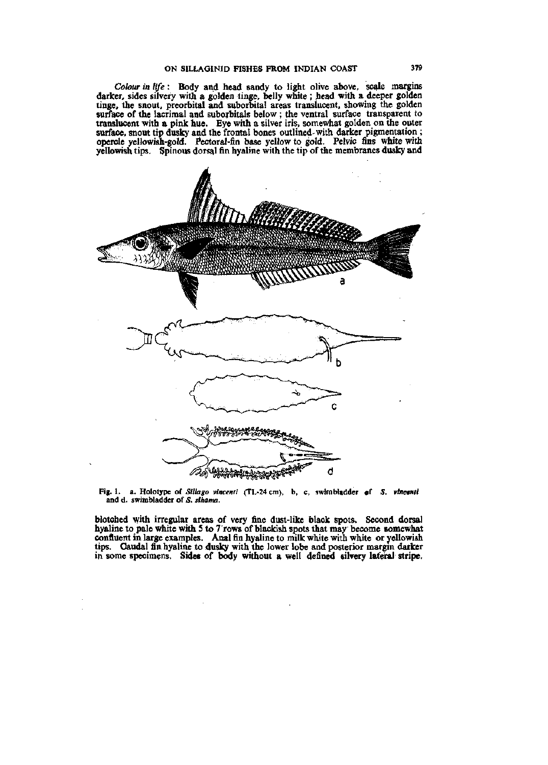*Colour in life*: Body and head sandy to light olive above, scale margins darker, sides silvery with a golden tinge, belly white; head with a deeper golden tinge, the snout, preorbital and suborbital areas translucent, showing the golden surface of the lacrimal and suborbitals below ; the ventral surface transparent to translucent with a pink hue. Eye with a silver iris, somewhat golden on the outer surface, snout tip dusky and the frontal bones outlined-with darker pigmentation; opercle yellowish-gold. Pectoral-fin base yellow to gold. Pelvic fins white with yellowish tips. Spinous dorsal fin hyaline with the tip of the membranes dusky and



**Fig. 1. a. Holotype of** *Slllago vincenti* **(TL-24cm), b, c, swimbladder cf** *S. vtneenti*  **and d. swimbladder of** *S. sihama.* 

blotched with irregular areas of very fine dust-like black spots. Second dorsal hyaline to pale white with 5 to 7 rows of blackish spots that may become somewhat confluent in large examples. Anal fin hyaline to milk white with white or yellowish tips. Oaudal fin hyaline to dusky with the lower lobe and posterior margin darker in some specimens, Sides of body without a well defined silvery lateral stripe.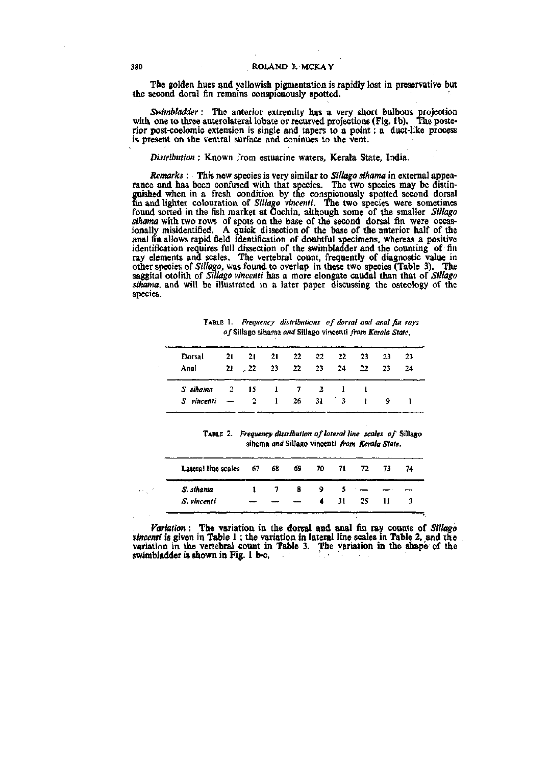The golden hues and yellowish pigmentation is rapidly lost in preservative but the second doral fin remains conspicuously spotted. '

*Swimbladder* : The anterior extremity has a very short bulbous projection with one to three anterolateral lobate or recurved projections (Fig. lb). The posterior post-coelomic extension is single and tapers to a point; a duct-like process is present on the ventral surface and coninues to the vent.

*Distribution* : Known from estuarine waters, Kerala State, India.

*Remarks* : This new species is very similar to *Sillago sihama* in external appearance and has been confused with that species. The two species may be distinguished when in a fresh condition by the conspicuously spotted second dorsal fin and lighter colouration of *Sillago vincenti.* The two species were sometimes found sorted in the fish market at Cochin, although some of the smaller Sillago *sihama* with two rows of spots on the base of the second dorsal fin were occasionally misidentified. A quick dissection of the base of the anterior half of the anal fin allows rapid field identification of doubtful specimens, whereas a positive identification requires full dissection of the swimbladder and the counting of fin ray elements and scales. The vertebral count, frequently of diagnostic value in other species of *Sillago.* was found to overlap in these two species (Table 3). The saggital otolith of *Sillago vincenti* has a more elongate caudal than that of *Sillago sihama,* and will be illustrated in a later paper discussing the osteology of the species.

TABLE 1. *Frequency distributions of dorsal and anal fin rays*  o/Sillago sihama *and* Sillago vincenti *from Kerala State.* 

| Dorsal      | 21.                      | -21          | -21                                  | 22                  | -22 | 22.    | 23  | 23. | 23 |
|-------------|--------------------------|--------------|--------------------------------------|---------------------|-----|--------|-----|-----|----|
| Anal        |                          | $21 \t 22$   | -23                                  | 22                  | 23  | 24     | -22 | -23 | 24 |
| S. sihama   |                          | $2 \quad 15$ |                                      | $1 \quad 7 \quad 2$ |     |        |     |     |    |
| S. vincenti | $\overline{\phantom{a}}$ | $\sim$ 2     | $\begin{array}{ccc} & 1 \end{array}$ | 26                  | -31 | $ -$ 3 | ı.  | 9   |    |

TABLE 2. *Frequency distribution of lateral line scales of* Sillago sihama *and* Sillago vincenti *from Kerala State.* 

|         | Lateral line scales 67 | 68.         |    |   |          | 69 70 71 72 | -73  | 74 |
|---------|------------------------|-------------|----|---|----------|-------------|------|----|
| $1 - 1$ | S. sihama              | $1 \quad 7$ | -8 | 9 | $5 -$    |             |      | ⊷  |
|         | S. vincenti            |             |    |   | $4 \t31$ | 25          | - 11 |    |

*Variation*: The variation in the dorsal and anal fin ray counts of *Sillago vincenti* is given in Table 1 ; the variation in lateral line scales in Table 2, and the variation in the vertebral count in Table 3. The variation in the shape of the swimbladder is shown in Fig. 1 b-c,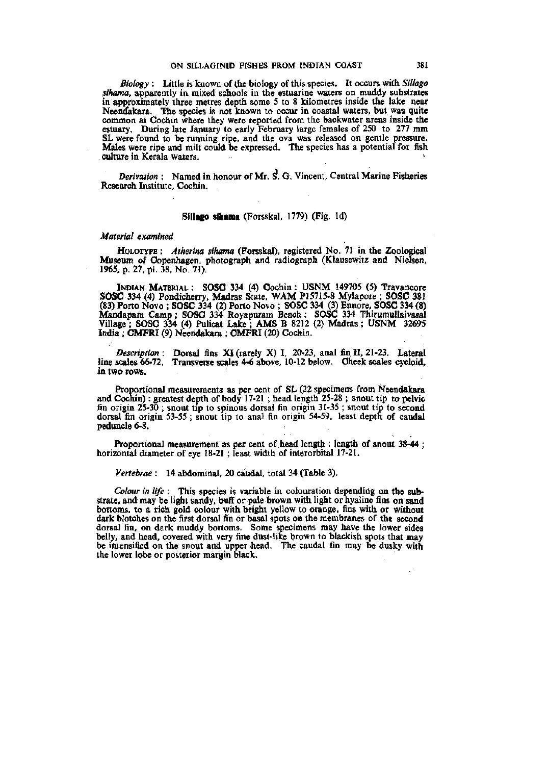*Biology* : Little is known of the biology of this species. It occurs with *Sillago sihama,* apparently in mixed schools in the estuarine waters on muddy substrates in approximately three metres depth some 5 to 8 kilometres inside the lake near Neendakara. The species is not known to occur in coastal waters, but was quite common at Cochin where they were reported from the backwater areas inside the estuary. During late January to early February large females of 250 to 277 mm SL were found to be running ripe, and the ova was released on gentle pressure. Males were ripe and milt could be expressed. The species has a potential for fish culture in Kerala waters.

*Derivation :* Named in honour of Mr. S. G. Vincent, Central Marine Fisheries Research Institute, Cochin.

#### **Slllngo sihama** (Forsskal, 1779) (Fig. Id)

#### *Material examined*

HoLOTYPE : *Atherina sihama* (Forsskal), registered No. 71 in the Zoological Museum of Copenhagen, photograph and radiograph (Ktausewitz and Nielsen, 1965, p. 27, pi. 38. No. 71).

INDIAN MATERIAL : SOSO 334 (4) Cochin: USNM 149705 (5) Travancore SOSG 334 (4) Pondicherry, Madras State, WAM P15715-8 Mylapore ; SOSC 381 (83) Porto Novo ; SOSC 334 (2) Porto Novo ; **SOSC** 334 (3) Ennore, SOSC 334 (8) Mandapam Camp; SOSC 334 Royapuram Beach; SOSC 334 Thirumullaivasal Village ; SOSC 334 (4) Pulicat Lake ; AMS B 8212 (2) Madras; USNM 32695 India ; CMFRI (9) Neendakara ; CMFRI (20) Cochin.

*Description:* Dorsal fins XI (rarely X) I, 20-23, anal fin II, 21-23. Lateral line scales 66-72. Transverse scales 4-6 above, 10-12 below. Cheek scales cycloid, in two rows.

Proportional measurements as per cent of SL (22 specimens from Neendakara and Cochin): greatest depth of body 17-21 ; head length 25-28 ; snout tip to pelvic fin origin 25-30 ; snout tip to spinous dorsal fin origin 31-35 ; snout tip to second dorsal fin origin 53-55 ; snout tip to anal fin origin 54-59, least depth of caudal peduncle 6-8.

Proportional measurement as per cent of head length : length of snout 38-44 ; horizontal diameter of eye 18-21 ; least width of interorbital 17-21.

*Vertebrae* : 14 abdominal, 20 caudal, total 34 (Table 3).

*Colour in life* : This species is variable in colouration depending on the substrate, and may be light sandy, buff or pale brown with light or hyaline fins on sand bottoms, to a rich gold colour with bright yellow to orange, fins with or without dark blotches on the first dorsal fin or basal spots on the membranes of the second dorsal fin, on dark muddy bottoms. Some specimens may have the lower sides belly, and head, covered with very fine dust-like brown to blackish spots that may be intensified on the snout and upper head. The caudal fin may be dusky with the lower lobe or posterior margin black.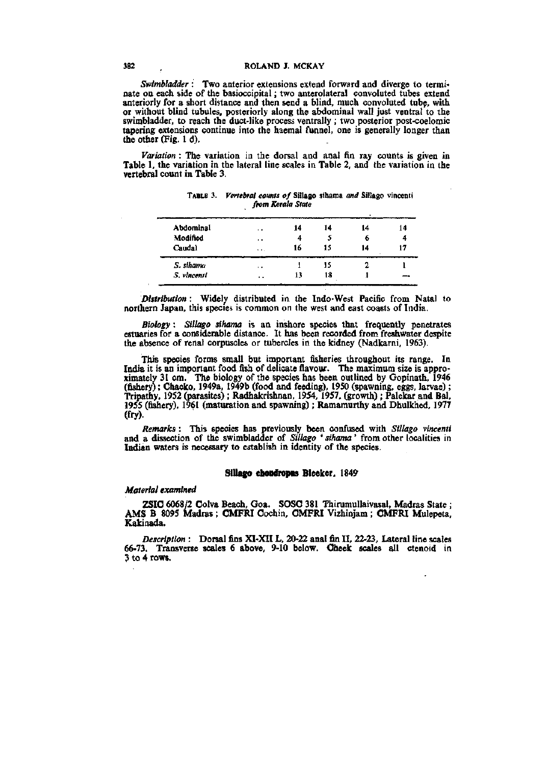# **382 ROLAND J. MCKAY**

*Swimbladder :* Two anterior extensions extend forward and diverge to terminate on each side of the basioccipital; two anterolateral convoluted tubes extend anteriorly for a short distance and then send a blind, much convoluted tubp, with or without blind tubules, posteriorly along the abdominal wall just ventral to the swimbladder, to reach the duct-like process ventrally ; two posterior post-coelomic tapering extensions continue into the haemal funnel, one is generally longer than the other (Fig. 1 d).

*Variation:* The variation in the dorsal and anal fin ray counts is given in Table 1, the variation in the lateral line scales in Table 2, and the variation in the vertebral count in Table 3.

| Abdominal   | $\cdot$ $\cdot$       | 14 | 14 | 14 | 14 |
|-------------|-----------------------|----|----|----|----|
| Modified    | $\ddot{\phantom{1}}$  | 4  |    | o  |    |
| Caudal      | $\bullet$ $\bullet$ . | 16 | 15 | 14 |    |
| S. sthama   | $\cdot$ .             |    | 15 |    |    |
| S. vincenti | $\ddot{\phantom{1}}$  | 13 | 18 |    |    |
|             |                       |    |    |    |    |

**TABLE 3.** *Vertebral counts of* **Sillago sihama** *and* **Sillago vincenti**  *from Kerala State* 

*Distribution*: Widely distributed in the Indo-West Pacific from Natal to northern Japan, this species is common on the west and east coasts of India.

*Biology* : *Sillago sihama* is an inshore species that frequently penetrates estuaries for a considerable distance. It has been recorded from freshwater despite the absence of renal corpuscles or tubercles in the kidney (Nadkarni, 1963).

This species forms small but important fisheries throughout its range. In India it is an important food fish of delicate flavour. The maximum size is approximately 31 cm. The biology of the species has been outlined by Gopinath, 1946 (fishery); Ohacko, 1949a, 1949b (food and feeding), 1950 (spawning, eggs, larvae); Tripathy, 1952 (parasites) ; Radhakrishnan, 1954, 1957, (growth) ; Palekar and Bal, 1955 (fishery), 1961 (maturation and spawning); Ramamurthy and Dhulkhed, 1977 (fry).

*Remarks* : This species has previously been confused with *Sillago vincenti*  and a dissection of the swimbladder of *Sillago ' sihama*' from other localities in Indian waters is necessary to establish in identity of the species.

# Sillago chondropus Bleeker, 1849

### *Material examined*

ZSIC 6068/2 Colva Beach, Goa. SOSC 381 Thirumullaivasal, Madras State ; AMS B 8095 Madras ; OMFRI Cochin, CMFRI Vizhinjam ; OMFRI Mulepeta, Kakinada.

*Description :* Dorsal fins XI-XIIL, 20-22 anal fin II, 22-23, Lateral line scales 66-73. Transverse scales 6 above, 9-10 below. CJheek scales all ctenoid in 3 to 4 rows.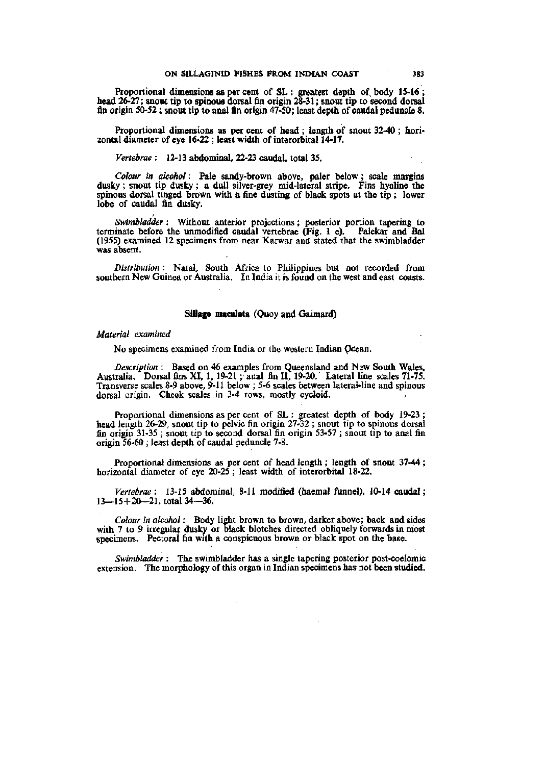Proportional dimensions as per cent of SL : greatest depth of body 15-16; head 26-27; snout tip to spinous dorsal fin origin 28-31; snout tip to second dorsal fin origin 50-52 ; snout tip to anal fin origin 47-50; least depth of caudal peduncle 8.

Proportional dimensions as per cent of head ; length of snout 32-40 ; horizontal diameter of eye 16-22 ; least width of interorbital 14-17.

*Vertebrae:* 12-13 abdominal, 22-23 caudal, total 35.

*Colour in alcohol:* Pale sandy-brown above, paler below; scale margins dusky ; snout tip dusky ; a dull silver-grey mid-lateral stripe. Fins hyaline the spinous dorsal tinged brown with a fine dusting of black spots at the tip ; lower lobe of caudal fin dusky.

*Swimbladder* : Without anterior projections; posterior portion tapering to terminate before the unmodified caudal vertebrae (Fig. 1 e). Palekar and Bal (1955) examined 12 specimens from near Karwar and stated that the swimbladder was absent.

*Distribution* : Natal, South Africa to Philippines but not recorded from southern New Guinea or Australia. In India it is found on the west and east coasts.

## **SUlago maculata** (Quoy and Gaimard)

#### *Material examined*

No specimens examined from India or the western Indian pcean.

*Description* : Based on 46 examples from Queensland and New South Wales, Australia. Dorsal fims XI, 1, 19-21 ; anal fin II, 19-20. Lateral line scales 71-75. Transverse scales 8-9 above,  $9-11$  below ; 5-6 scales between lateral-line and spinous dorsal origin. Cheek scales in 3-4 rows, mostly cycloid.

Proportional dimensions as per cent of SL : greatest depth of body 19-23 ; head length 26-29, snout tip to pelvic fin origin 27-32 ; snout tip to spinous dorsal fin origin 31-35 ; snout tip to second dorsal fin origin 53-57 ; snout tip to anal fin origin 56-60 ; least depth of caudal peduncle 7-8.

Proportional dimensions as per cent of head length ; length of snout 37-44 ; horizontal diameter of eye 20-25 ; least width of interorbital 18-22.

*Vertebrae* : 13-15 abdominal, 8-11 modified (haemal funnel), 10-14 caudal; 13—15+20—21, total 34—36.

*Colour in alcohol*: Body light brown to brown, darker above; back and sides with 7 to 9 irregular dusky or black blotches directed obliquely forwards in most specimens. Pectoral fin with a conspicuous brown or black spot on the base.

*Swimbladder :* The swimbladder has a single tapering posterior post-coelomic extension. The morphology of this organ in Indian specimens has not been studied.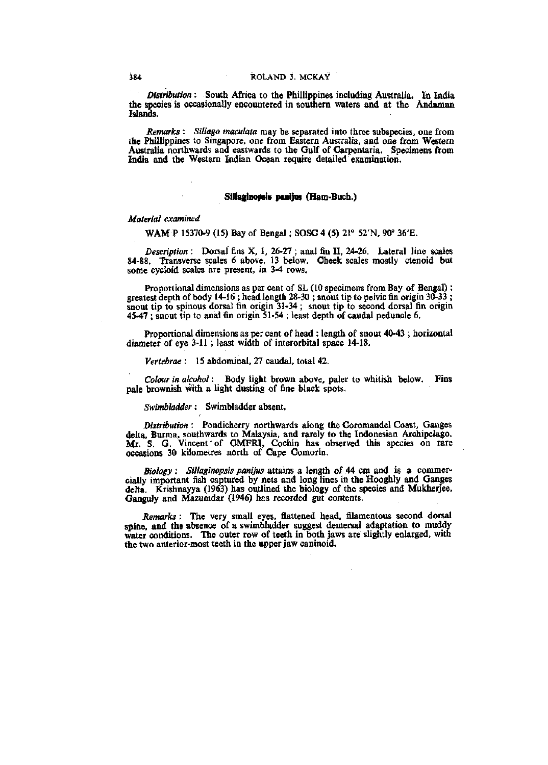*Distribution* : South Africa to the Phillippines including Australia. In India the species is occasionally encountered in southern waters and at the Andaman Islands.

*Remarks* : *Sillago maculata* may be separated into three subspecies, one from the Phillippines to Singapore, one from Eastern Australia, and one from Western Australia northwards and eastwards to the Gulf of Carpentaria. Specimens from India and the Western Indian Ocean require detailed examination.

### **Sillaginopsis ponijas** (Ham-Buch.)

## *Material examined*

WAM P 15370-9 (15) Bay of Bengal; SOSC 4 (5) 21° 52'N, 90" 36'E.

*Description* : Dorsal fins X, 1, 26-27 ; anal fin II, 24-26. Lateral line scales 84-88. Transverse scales 6 above, 13 below. Cheek scales mostly ctenoid but some cycloid scales are present, in 3-4 rows.

Proportional dimensions as per cent of SL (10 specimens from Bay of Bengal): greatest depth of body 14-16 ; head length 28-30 ; snout tip to pelvic fin origin 30-33 ; snout tip to spinous dorsal fin origin 31-34; snout tip to second dorsal fin origin 45-47 ; snout tip to anal fin origin 51-54 ; least depth of caudal peduncle 6.

Proportional dimensions as per cent of head : length of snout 40-43 ; horizontal diameter of eye 3-11 ; least width of interorbital space 14-18.

*Vertebrae* : 15 abdominal, 27 caudal, total 42.

*Colour in alcohol:* Body light brown above, paler to whitish below. Fins pale brownish with a light dusting of fine black spots.

*Swimbladder*: Swimbladder absent.

*Distribution :* Pondicherry northwards along the Coromandel Coast, Ganges delta, Burma, southwards to Malaysia, and rarely to the Indonesian Archipelago. Mr. S. G. Vincent of OMFRI, Cochin has observed this species on rare occasions 30 kilometres ndrth of Cape Comorin.

*Biology : Sillaginopsis panijus* attains a length of 44 cm and is a commercially important fish captured by nets and long lines in the Hooghly and Ganges delta. Krishnayya (1963) has outlined the biology of the species and Mukherjee, Ganguly and Mazumdar (1946) has recorded gut contents.

*Remarks*: The very small eyes, flattened head, filamentous second dorsal spine, and the absence of a swimbladder suggest demersal adaptation to muddy water conditions. The outer row of teeth in both jaws are slightly enlarged, with the two anterior-most teeth in the upper jaw caninoid.